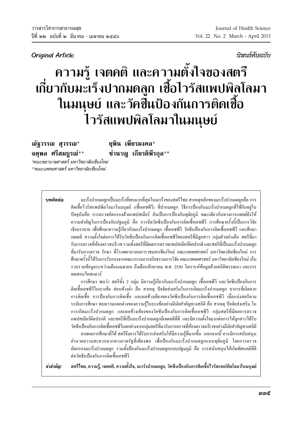บิงเบล็ต้นฉบับ

## ิความรู้ เจตคติ และความตั้งใจของสตรี เกี่ยวกับมะเร็งปากมดลูก เชื้อไวรัสแพปพิลโลมา ในมนุษย์ และวัคขี้นป้องกันการติดเชื้อ ไวรัสแพปพิลโลมาในมนุษย์

ยุพิน เพียรมงคล\* ชำนาญ เกียรติพีรกล $^{**}$ 

\*คณะพยาบาลศาสตร์ มหาวิทยาลัยเชียงใหม่ \*\*คณะแพทยศาสตร์ มหาวิทยาลัยเชียงใหม่

## บทคัดย่อ

ณัฐวรรณ สุวรรณ\*

จตพล ศรีสมบูรณ์\*\*

้มะเร็งปากมดลกเป็นมะเร็งที่พบมากที่สดในมะเร็งของสตรีไทย สาเหตหลักของมะเร็งปากมดลกคือ การ ติดเชื้อไวรัสแพปพิลโลมาในมนุษย์ (เชื้อเอชพีวี) ที่ปากมดลูก วิธีการป้องกันมะเร็งปากมดลูกที่ใช้กันอยู่ใน ปัจจุบันคือ การตรวจคัดกรองด้วยแพปสเมียร์ อันเป็นการป้องกันทุติยภูมิ ขณะเดียวกันทางการแพทย์ยังให้ ้ความสำคัญในการป้องกันปรมภมิ คือ การฉีดวัคซีนป้องกันการติดเชื้อเอชพีวี การศึกษาครั้งนี้เป็นการวิจัย เชิงบรรยาย เพื่อศึกษาความรู้เกี่ยวกับมะเร็งปากมดลูก เชื้อเอชพีวี วัคซีนป้องกันการติดเชื้อเอชพีวี และศึกษา ี เจตกติ ความตั้งใจต่อการได้รับวัคซีนป้องกันการติดเชื้อเอชพีวีของสตรีที่มีลูกสาว กลุ่มตัวอย่างคือ สตรีที่มา รับการตรวจที่ห้องตรวจนรีเวช รวมทั้งสตรีที่มีผลการตรวจแพปสเมียร์ผิดปรกติ และสตรีที่เป็นมะเร็งปากมดลก ที่มารับการตรวจ รักษา ที่โรงพยาบาลมหาราชนครเชียงใหม่ คณะแพทยศาสตร์ มหาวิทยาลัยเชียงใหม่ การ ้ศึกษาครั้งนี้ได้รับการรับรองจากคณะกรรมการจริยธรรมการวิจัย คณะแพทยศาสตร์ มหาวิทยาลัยเชียงใหม่ เก็บ รวบรวมข้อมูลระหว่างเดือนเมษายน ถึงเดือนสิงหาคม พ.ศ. 2550 วิเคราะห์ข้อมูลด้วยสถิติพรรณนา และการ ทดสอบไคสแควร์

ี การศึกษา พบว่า สตรีทั้ง 2 กลุ่ม มีความรู้เกี่ยวกับมะเร็งปากมดลูก เชื้อเอชพีวี และวัคซีนป้องกันการ ติดเชื้อเอชพีวีในบางข้อ ค่อนข้างต่ำ คือ สาเหต ปัจจัยส่งเสริมในการเกิดมะเร็งปากมดลก อาการที่เกิดจาก ึการติดเชื้อ การป้องกันการติดเชื้อ และผลข้างเคียงของวัคซีนป้องกันการติดเชื้อเอชพีวี เมื่อแบ่งสตรีตาม ระดับการศึกษา พบความแตกต่างของความรู้ในบางข้ออย่างมีนัยสำคัญทางสถิติ คือ สาเหตุ ปัจจัยส่งเสริม ใน ี การเกิดมะเร็งปากมดลก และผลข้างเคียงของวัคซีนป้องกันการติดเชื้อเอชพีวี กล่มสตรีที่มีผลการตรวจ แพปสเมียร์ผิดปรกติ และสตรีที่เป็นมะเร็งปากมดลูกมีเจตกติที่ดี และมีความตั้งใจมากต่อการให้ลูกสาวได้รับ วัคซีนป้องกันการติดเชื้อเอชพีวีแตกต่างจากกลุ่มสตรีที่มารับการตรวจที่ห้องตรวจนรีเวชอย่างมีนัยสำคัญทางสถิติ

ิจากผลการศึกษาที่ได้ สตรีจึงควรได้รับการส่งเสริมให้มีความรู้ที่มากขึ้น นอกจากนี้ ควรมีการสนับสนุน ้อำนวยความสะดวกจากทางภาครัฐที่เพียงพอ เพื่อป้องกันมะเร็งปากมดลูกแบบทุติยภูมิ โดยการตรวจ คัคกรองมะเร็งปากมดลูก รวมทั้งป้องกันมะเร็งปากมดลูกแบบปฐมภูมิ คือ การสนับสนุนให้เกิดทัศนคติที่ดี ต่อวัคซีนป้องกันการติดเชื้อเอชพีวี

สตรีไทย, ความรู้, เจตคติ, ความตั้งใจ, มะเร็งปากมดถูก, วัคซีนป้องกันการติดเชื้อไวรัสแพปพิลโลมาในมนุษย์ คำสำคัญ: